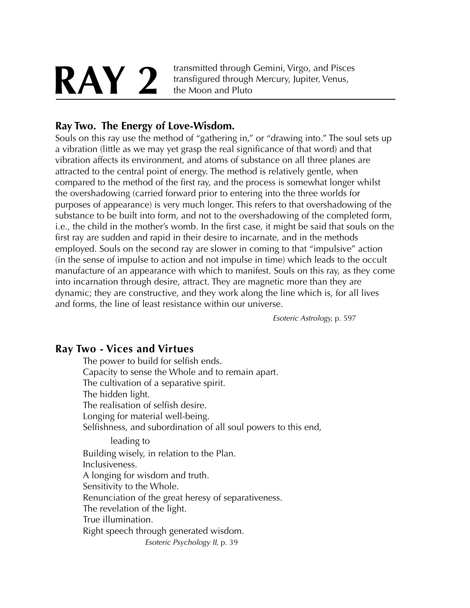**RAY 2** transmitted through Gemini, Virgo, and Pisces<br>transfigured through Mercury, Jupiter, Venus, transfigured through Mercury, Jupiter, Venus, the Moon and Pluto

# **Ray Two. The Energy of Love-Wisdom.**

Souls on this ray use the method of "gathering in," or "drawing into." The soul sets up a vibration (little as we may yet grasp the real significance of that word) and that vibration affects its environment, and atoms of substance on all three planes are attracted to the central point of energy. The method is relatively gentle, when compared to the method of the first ray, and the process is somewhat longer whilst the overshadowing (carried forward prior to entering into the three worlds for purposes of appearance) is very much longer. This refers to that overshadowing of the substance to be built into form, and not to the overshadowing of the completed form, i.e., the child in the mother's womb. In the first case, it might be said that souls on the first ray are sudden and rapid in their desire to incarnate, and in the methods employed. Souls on the second ray are slower in coming to that "impulsive" action (in the sense of impulse to action and not impulse in time) which leads to the occult manufacture of an appearance with which to manifest. Souls on this ray, as they come into incarnation through desire, attract. They are magnetic more than they are dynamic; they are constructive, and they work along the line which is, for all lives and forms, the line of least resistance within our universe.

Esoteric Astrology, p. 597

## **Ray Two - Vices and Virtues**

The power to build for selfish ends. Capacity to sense the Whole and to remain apart. The cultivation of a separative spirit. The hidden light. The realisation of selfish desire. Longing for material well-being. Selfishness, and subordination of all soul powers to this end, leading to Building wisely, in relation to the Plan. Inclusiveness. A longing for wisdom and truth. Sensitivity to the Whole. Renunciation of the great heresy of separativeness. The revelation of the light. True illumination. Right speech through generated wisdom. Esoteric Psychology II, p. 39